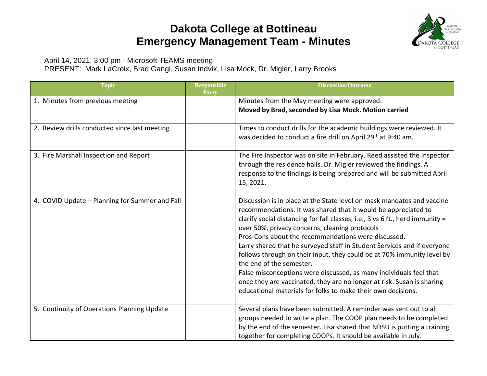## **Dakota College at Bottineau Emergency Management Team - Minutes**



April 14, 2021, 3:00 pm - Microsoft TEAMS meeting

PRESENT: Mark LaCroix, Brad Gangl, Susan Indvik, Lisa Mock, Dr. Migler, Larry Brooks

| <b>Topic</b>                                   | <b>Responsible</b><br>Party | <b>Discussion/Outcome</b>                                                                                                                                                                                                                                                                                                                                                                                                                                                                                                                                                                                                                                                                                                           |
|------------------------------------------------|-----------------------------|-------------------------------------------------------------------------------------------------------------------------------------------------------------------------------------------------------------------------------------------------------------------------------------------------------------------------------------------------------------------------------------------------------------------------------------------------------------------------------------------------------------------------------------------------------------------------------------------------------------------------------------------------------------------------------------------------------------------------------------|
| 1. Minutes from previous meeting               |                             | Minutes from the May meeting were approved.<br>Moved by Brad, seconded by Lisa Mock. Motion carried                                                                                                                                                                                                                                                                                                                                                                                                                                                                                                                                                                                                                                 |
| 2. Review drills conducted since last meeting  |                             | Times to conduct drills for the academic buildings were reviewed. It<br>was decided to conduct a fire drill on April 29 <sup>th</sup> at 9:40 am.                                                                                                                                                                                                                                                                                                                                                                                                                                                                                                                                                                                   |
| 3. Fire Marshall Inspection and Report         |                             | The Fire Inspector was on site in February. Reed assisted the Inspector<br>through the residence halls. Dr. Migler reviewed the findings. A<br>response to the findings is being prepared and will be submitted April<br>15, 2021.                                                                                                                                                                                                                                                                                                                                                                                                                                                                                                  |
| 4. COVID Update - Planning for Summer and Fall |                             | Discussion is in place at the State level on mask mandates and vaccine<br>recommendations. It was shared that it would be appreciated to<br>clarify social distancing for fall classes, i.e., 3 vs 6 ft., herd immunity =<br>over 50%, privacy concerns, cleaning protocols<br>Pros-Cons about the recommendations were discussed.<br>Larry shared that he surveyed staff in Student Services and if everyone<br>follows through on their input, they could be at 70% immunity level by<br>the end of the semester.<br>False misconceptions were discussed, as many individuals feel that<br>once they are vaccinated, they are no longer at risk. Susan is sharing<br>educational materials for folks to make their own decisions. |
| 5. Continuity of Operations Planning Update    |                             | Several plans have been submitted. A reminder was sent out to all<br>groups needed to write a plan. The COOP plan needs to be completed<br>by the end of the semester. Lisa shared that NDSU is putting a training<br>together for completing COOPs. It should be available in July.                                                                                                                                                                                                                                                                                                                                                                                                                                                |